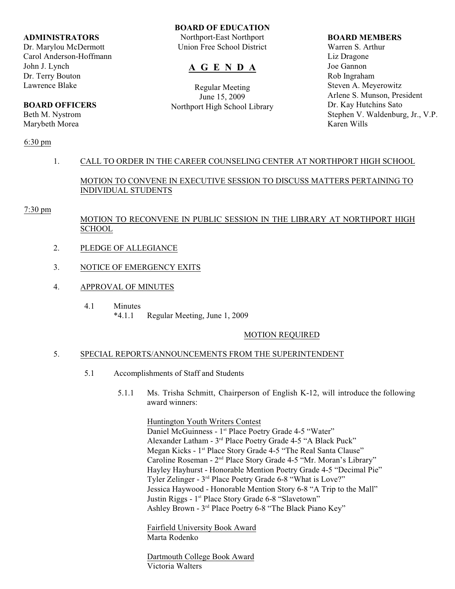#### **ADMINISTRATORS**

Dr. Marylou McDermott Carol Anderson-Hoffmann John J. Lynch Dr. Terry Bouton Lawrence Blake

# **BOARD OFFICERS**

Beth M. Nystrom Marybeth Morea

## 6:30 pm

# **BOARD OF EDUCATION**

Northport-East Northport Union Free School District

# **A G E N D A**

Regular Meeting June 15, 2009 Northport High School Library

#### **BOARD MEMBERS**

Warren S. Arthur Liz Dragone Joe Gannon Rob Ingraham Steven A. Meyerowitz Arlene S. Munson, President Dr. Kay Hutchins Sato Stephen V. Waldenburg, Jr., V.P. Karen Wills

# 1. CALL TO ORDER IN THE CAREER COUNSELING CENTER AT NORTHPORT HIGH SCHOOL

MOTION TO CONVENE IN EXECUTIVE SESSION TO DISCUSS MATTERS PERTAINING TO INDIVIDUAL STUDENTS

#### 7:30 pm

# MOTION TO RECONVENE IN PUBLIC SESSION IN THE LIBRARY AT NORTHPORT HIGH **SCHOOL**

- 2. PLEDGE OF ALLEGIANCE
- 3. NOTICE OF EMERGENCY EXITS
- 4. APPROVAL OF MINUTES
	- 4.1 Minutes
		- \*4.1.1 Regular Meeting, June 1, 2009

# MOTION REQUIRED

## 5. SPECIAL REPORTS/ANNOUNCEMENTS FROM THE SUPERINTENDENT

- 5.1 Accomplishments of Staff and Students
	- 5.1.1 Ms. Trisha Schmitt, Chairperson of English K-12, will introduce the following award winners:

Huntington Youth Writers Contest

Daniel McGuinness - 1<sup>st</sup> Place Poetry Grade 4-5 "Water" Alexander Latham - 3<sup>rd</sup> Place Poetry Grade 4-5 "A Black Puck" Megan Kicks - 1<sup>st</sup> Place Story Grade 4-5 "The Real Santa Clause" Caroline Roseman - 2<sup>nd</sup> Place Story Grade 4-5 "Mr. Moran's Library" Hayley Hayhurst - Honorable Mention Poetry Grade 4-5 "Decimal Pie" Tyler Zelinger - 3<sup>rd</sup> Place Poetry Grade 6-8 "What is Love?" Jessica Haywood - Honorable Mention Story 6-8 "A Trip to the Mall" Justin Riggs - 1<sup>st</sup> Place Story Grade 6-8 "Slavetown" Ashley Brown - 3<sup>rd</sup> Place Poetry 6-8 "The Black Piano Key"

Fairfield University Book Award Marta Rodenko

Dartmouth College Book Award Victoria Walters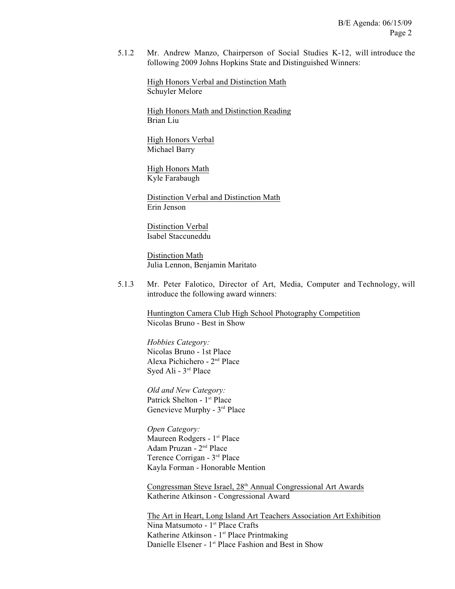5.1.2 Mr. Andrew Manzo, Chairperson of Social Studies K-12, will introduce the following 2009 Johns Hopkins State and Distinguished Winners:

High Honors Verbal and Distinction Math Schuyler Melore

High Honors Math and Distinction Reading Brian Liu

High Honors Verbal Michael Barry

High Honors Math Kyle Farabaugh

Distinction Verbal and Distinction Math Erin Jenson

Distinction Verbal Isabel Staccuneddu

Distinction Math Julia Lennon, Benjamin Maritato

5.1.3 Mr. Peter Falotico, Director of Art, Media, Computer and Technology, will introduce the following award winners:

Huntington Camera Club High School Photography Competition Nicolas Bruno - Best in Show

*Hobbies Category:* Nicolas Bruno - 1st Place Alexa Pichichero - 2<sup>nd</sup> Place Syed Ali - 3<sup>rd</sup> Place

*Old and New Category:* Patrick Shelton - 1<sup>st</sup> Place Genevieve Murphy - 3<sup>rd</sup> Place

*Open Category:* Maureen Rodgers - 1<sup>st</sup> Place Adam Pruzan - 2<sup>nd</sup> Place Terence Corrigan - 3<sup>rd</sup> Place Kayla Forman - Honorable Mention

Congressman Steve Israel, 28<sup>th</sup> Annual Congressional Art Awards Katherine Atkinson - Congressional Award

The Art in Heart, Long Island Art Teachers Association Art Exhibition Nina Matsumoto - 1<sup>st</sup> Place Crafts Katherine Atkinson -  $1<sup>st</sup>$  Place Printmaking Danielle Elsener - 1<sup>st</sup> Place Fashion and Best in Show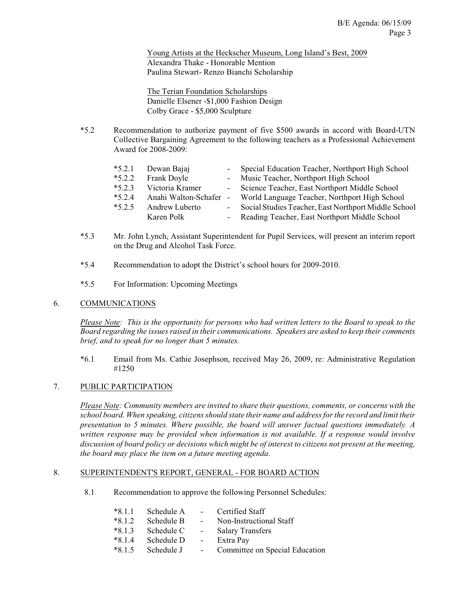Young Artists at the Heckscher Museum, Long Island's Best, 2009 Alexandra Thake - Honorable Mention Paulina Stewart- Renzo Bianchi Scholarship

The Terian Foundation Scholarships Danielle Elsener -\$1,000 Fashion Design Colby Grace - \$5,000 Sculpture

\*5.2 Recommendation to authorize payment of five \$500 awards in accord with Board-UTN Collective Bargaining Agreement to the following teachers as a Professional Achievement Award for 2008-2009:

| $*5.2.1$ | Dewan Bajaj            | Special Education Teacher, Northport High School       |
|----------|------------------------|--------------------------------------------------------|
| $*5.2.2$ | Frank Doyle            | - Music Teacher, Northport High School                 |
| $*5.2.3$ | Victoria Kramer        | - Science Teacher, East Northport Middle School        |
| $*5.2.4$ | Anahi Walton-Schafer - | World Language Teacher, Northport High School          |
| $*5.2.5$ | Andrew Luberto         | - Social Studies Teacher, East Northport Middle School |
|          | Karen Polk             | - Reading Teacher, East Northport Middle School        |
|          |                        |                                                        |

- \*5.3 Mr. John Lynch, Assistant Superintendent for Pupil Services, will present an interim report on the Drug and Alcohol Task Force.
- \*5.4 Recommendation to adopt the District's school hours for 2009-2010.
- \*5.5 For Information: Upcoming Meetings

## 6. COMMUNICATIONS

*Please Note: This is the opportunity for persons who had written letters to the Board to speak to the Board regarding the issues raised in their communications. Speakers are asked to keep their comments brief, and to speak for no longer than 5 minutes.*

\*6.1 Email from Ms. Cathie Josephson, received May 26, 2009, re: Administrative Regulation #1250

# 7. PUBLIC PARTICIPATION

*Please Note: Community members are invited to share their questions, comments, or concerns with the school board. When speaking, citizens should state their name and address for the record and limit their presentation to 5 minutes. Where possible, the board will answer factual questions immediately. A written response may be provided when information is not available. If a response would involve discussion of board policy or decisions which might be of interest to citizens not present at the meeting, the board may place the item on a future meeting agenda*.

## 8. SUPERINTENDENT'S REPORT, GENERAL - FOR BOARD ACTION

8.1 Recommendation to approve the following Personnel Schedules:

| $*8.1.1$ | Schedule A | <b>Contract Contract</b> | Certified Staff                |
|----------|------------|--------------------------|--------------------------------|
| $*8.1.2$ | Schedule B | $\sim 100$               | Non-Instructional Staff        |
| $*8.1.3$ | Schedule C | $\sim$                   | <b>Salary Transfers</b>        |
| $*8.1.4$ | Schedule D | $\sim$ 10 $\pm$          | Extra Pay                      |
| $*8.1.5$ | Schedule J | $\sim$                   | Committee on Special Education |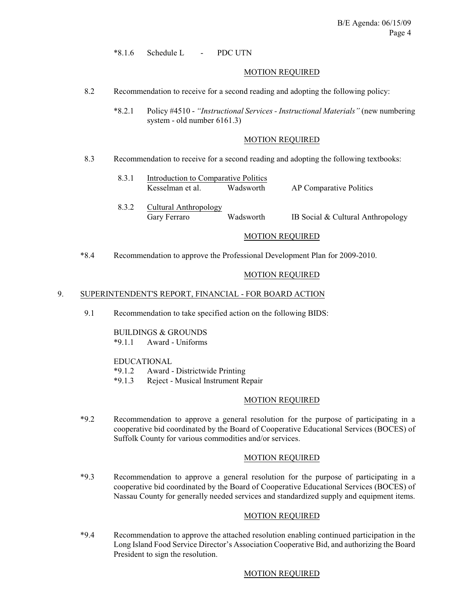\*8.1.6 Schedule L - PDC UTN

#### MOTION REQUIRED

8.2 Recommendation to receive for a second reading and adopting the following policy:

\*8.2.1 Policy #4510 - *"Instructional Services - Instructional Materials"* (new numbering system - old number 6161.3)

#### MOTION REQUIRED

- 8.3 Recommendation to receive for a second reading and adopting the following textbooks:
	- 8.3.1 Introduction to Comparative Politics Kesselman et al. Wadsworth AP Comparative Politics 8.3.2 Cultural Anthropology Gary Ferraro Wadsworth IB Social & Cultural Anthropology

#### MOTION REQUIRED

\*8.4 Recommendation to approve the Professional Development Plan for 2009-2010.

#### MOTION REQUIRED

#### 9. SUPERINTENDENT'S REPORT, FINANCIAL - FOR BOARD ACTION

9.1 Recommendation to take specified action on the following BIDS:

## BUILDINGS & GROUNDS

\*9.1.1 Award - Uniforms

#### EDUCATIONAL

- \*9.1.2 Award Districtwide Printing
- \*9.1.3 Reject Musical Instrument Repair

#### MOTION REQUIRED

\*9.2 Recommendation to approve a general resolution for the purpose of participating in a cooperative bid coordinated by the Board of Cooperative Educational Services (BOCES) of Suffolk County for various commodities and/or services.

## MOTION REQUIRED

\*9.3 Recommendation to approve a general resolution for the purpose of participating in a cooperative bid coordinated by the Board of Cooperative Educational Services (BOCES) of Nassau County for generally needed services and standardized supply and equipment items.

#### MOTION REQUIRED

\*9.4 Recommendation to approve the attached resolution enabling continued participation in the Long Island Food Service Director's Association Cooperative Bid, and authorizing the Board President to sign the resolution.

# MOTION REQUIRED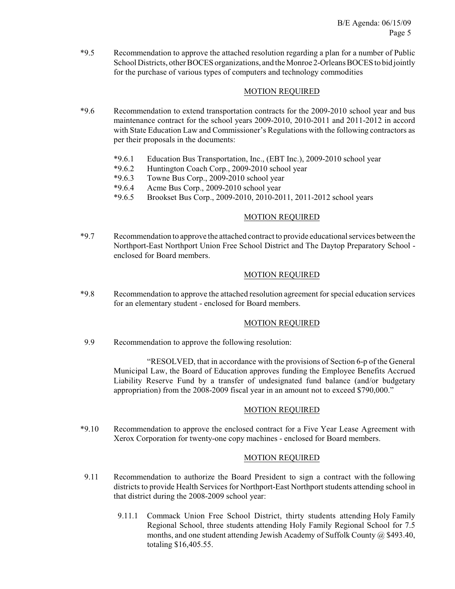\*9.5 Recommendation to approve the attached resolution regarding a plan for a number of Public School Districts, other BOCES organizations, and the Monroe 2-Orleans BOCES to bid jointly for the purchase of various types of computers and technology commodities

# MOTION REQUIRED

- \*9.6 Recommendation to extend transportation contracts for the 2009-2010 school year and bus maintenance contract for the school years 2009-2010, 2010-2011 and 2011-2012 in accord with State Education Law and Commissioner's Regulations with the following contractors as per their proposals in the documents:
	- \*9.6.1 Education Bus Transportation, Inc., (EBT Inc.), 2009-2010 school year
	- \*9.6.2 Huntington Coach Corp., 2009-2010 school year
	- \*9.6.3 Towne Bus Corp., 2009-2010 school year
	- \*9.6.4 Acme Bus Corp., 2009-2010 school year
	- \*9.6.5 Brookset Bus Corp., 2009-2010, 2010-2011, 2011-2012 school years

# MOTION REQUIRED

\*9.7 Recommendation to approve the attached contract to provide educational services between the Northport-East Northport Union Free School District and The Daytop Preparatory School enclosed for Board members.

# MOTION REQUIRED

\*9.8 Recommendation to approve the attached resolution agreement for special education services for an elementary student - enclosed for Board members.

## MOTION REQUIRED

9.9 Recommendation to approve the following resolution:

"RESOLVED, that in accordance with the provisions of Section 6-p of the General Municipal Law, the Board of Education approves funding the Employee Benefits Accrued Liability Reserve Fund by a transfer of undesignated fund balance (and/or budgetary appropriation) from the 2008-2009 fiscal year in an amount not to exceed \$790,000."

# MOTION REQUIRED

\*9.10 Recommendation to approve the enclosed contract for a Five Year Lease Agreement with Xerox Corporation for twenty-one copy machines - enclosed for Board members.

# MOTION REQUIRED

- 9.11 Recommendation to authorize the Board President to sign a contract with the following districts to provide Health Services for Northport-East Northport students attending school in that district during the 2008-2009 school year:
	- 9.11.1 Commack Union Free School District, thirty students attending Holy Family Regional School, three students attending Holy Family Regional School for 7.5 months, and one student attending Jewish Academy of Suffolk County @ \$493.40, totaling \$16,405.55.